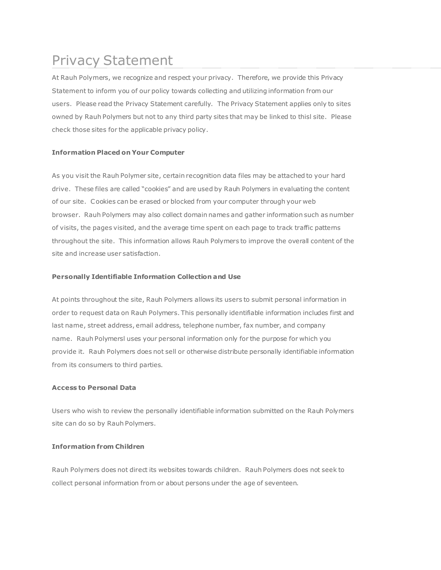# Privacy Statement

At Rauh Polymers, we recognize and respect your privacy. Therefore, we provide this Privacy Statement to inform you of our policy towards collecting and utilizing information from our users. Please read the Privacy Statement carefully. The Privacy Statement applies only to sites owned by Rauh Polymers but not to any third party sites that may be linked to thisl site. Please check those sites for the applicable privacy policy.

# **Information Placed on Your Computer**

As you visit the Rauh Polymer site, certain recognition data files may be attached to your hard drive. These files are called "cookies" and are used by Rauh Polymers in evaluating the content of our site. Cookies can be erased or blocked from your computer through your web browser. Rauh Polymers may also collect domain names and gather information such as number of visits, the pages visited, and the average time spent on each page to track traffic patterns throughout the site. This information allows Rauh Polymers to improve the overall content of the site and increase user satisfaction.

# **Personally Identifiable Information Collection and Use**

At points throughout the site, Rauh Polymers allows its users to submit personal information in order to request data on Rauh Polymers. This personally identifiable information includes first and last name, street address, email address, telephone number, fax number, and company name. Rauh Polymersl uses your personal information only for the purpose for which you provide it. Rauh Polymers does not sell or otherwise distribute personally identifiable information from its consumers to third parties.

### **Access to Personal Data**

Users who wish to review the personally identifiable information submitted on the Rauh Polymers site can do so by Rauh Polymers.

### **Information from Children**

Rauh Polymers does not direct its websites towards children. Rauh Polymers does not seek to collect personal information from or about persons under the age of seventeen.